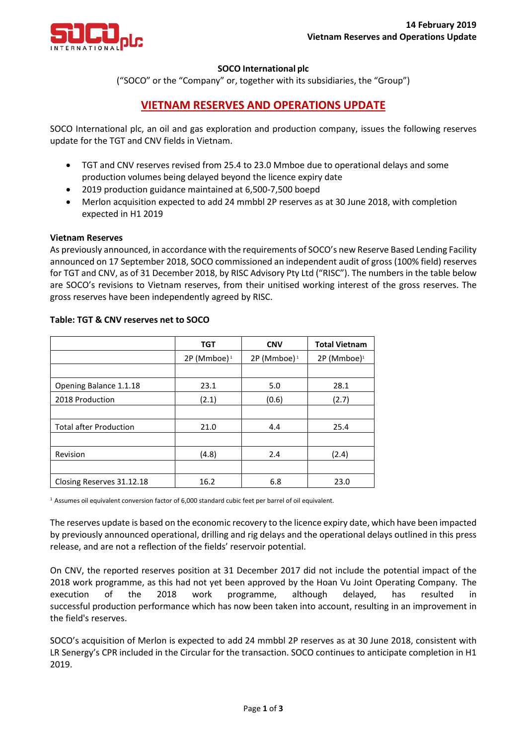

# **SOCO International plc**

("SOCO" or the "Company" or, together with its subsidiaries, the "Group")

# **VIETNAM RESERVES AND OPERATIONS UPDATE**

SOCO International plc, an oil and gas exploration and production company, issues the following reserves update for the TGT and CNV fields in Vietnam.

- TGT and CNV reserves revised from 25.4 to 23.0 Mmboe due to operational delays and some production volumes being delayed beyond the licence expiry date
- 2019 production guidance maintained at 6,500-7,500 boepd
- Merlon acquisition expected to add 24 mmbbl 2P reserves as at 30 June 2018, with completion expected in H1 2019

#### **Vietnam Reserves**

As previously announced, in accordance with the requirements of SOCO's new Reserve Based Lending Facility announced on 17 September 2018, SOCO commissioned an independent audit of gross (100% field) reserves for TGT and CNV, as of 31 December 2018, by RISC Advisory Pty Ltd ("RISC"). The numbers in the table below are SOCO's revisions to Vietnam reserves, from their unitised working interest of the gross reserves. The gross reserves have been independently agreed by RISC.

|                               | <b>TGT</b>                | <b>CNV</b>       | <b>Total Vietnam</b>      |
|-------------------------------|---------------------------|------------------|---------------------------|
|                               | $2P$ (Mmboe) <sup>1</sup> | $2P$ (Mmboe) $1$ | $2P$ (Mmboe) <sup>1</sup> |
|                               |                           |                  |                           |
| Opening Balance 1.1.18        | 23.1                      | 5.0              | 28.1                      |
| 2018 Production               | (2.1)                     | (0.6)            | (2.7)                     |
|                               |                           |                  |                           |
| <b>Total after Production</b> | 21.0                      | 4.4              | 25.4                      |
|                               |                           |                  |                           |
| Revision                      | (4.8)                     | 2.4              | (2.4)                     |
|                               |                           |                  |                           |
| Closing Reserves 31.12.18     | 16.2                      | 6.8              | 23.0                      |

## **Table: TGT & CNV reserves net to SOCO**

 $1$  Assumes oil equivalent conversion factor of 6,000 standard cubic feet per barrel of oil equivalent.

The reserves update is based on the economic recovery to the licence expiry date, which have been impacted by previously announced operational, drilling and rig delays and the operational delays outlined in this press release, and are not a reflection of the fields' reservoir potential.

On CNV, the reported reserves position at 31 December 2017 did not include the potential impact of the 2018 work programme, as this had not yet been approved by the Hoan Vu Joint Operating Company. The execution of the 2018 work programme, although delayed, has resulted in successful production performance which has now been taken into account, resulting in an improvement in the field's reserves.

SOCO's acquisition of Merlon is expected to add 24 mmbbl 2P reserves as at 30 June 2018, consistent with LR Senergy's CPR included in the Circular for the transaction. SOCO continues to anticipate completion in H1 2019.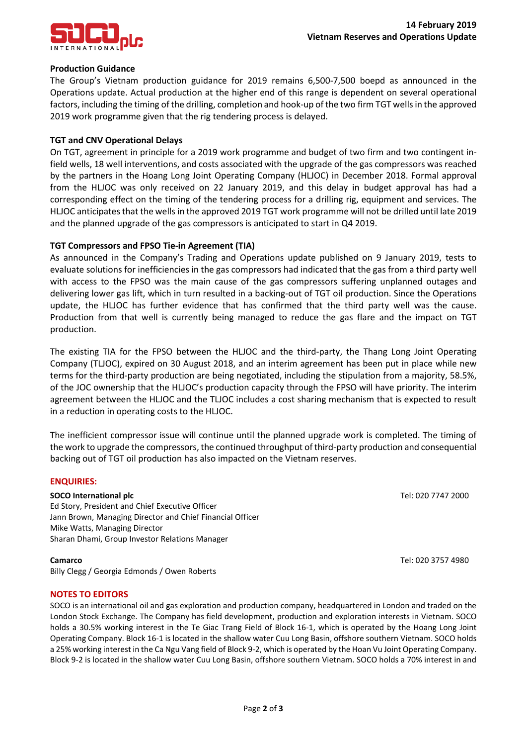

### **Production Guidance**

The Group's Vietnam production guidance for 2019 remains 6,500-7,500 boepd as announced in the Operations update. Actual production at the higher end of this range is dependent on several operational factors, including the timing of the drilling, completion and hook-up of the two firm TGT wells in the approved 2019 work programme given that the rig tendering process is delayed.

#### **TGT and CNV Operational Delays**

On TGT, agreement in principle for a 2019 work programme and budget of two firm and two contingent infield wells, 18 well interventions, and costs associated with the upgrade of the gas compressors was reached by the partners in the Hoang Long Joint Operating Company (HLJOC) in December 2018. Formal approval from the HLJOC was only received on 22 January 2019, and this delay in budget approval has had a corresponding effect on the timing of the tendering process for a drilling rig, equipment and services. The HLJOC anticipates that the wells in the approved 2019 TGT work programme will not be drilled until late 2019 and the planned upgrade of the gas compressors is anticipated to start in Q4 2019.

#### **TGT Compressors and FPSO Tie-in Agreement (TIA)**

As announced in the Company's Trading and Operations update published on 9 January 2019, tests to evaluate solutions for inefficiencies in the gas compressors had indicated that the gas from a third party well with access to the FPSO was the main cause of the gas compressors suffering unplanned outages and delivering lower gas lift, which in turn resulted in a backing-out of TGT oil production. Since the Operations update, the HLJOC has further evidence that has confirmed that the third party well was the cause. Production from that well is currently being managed to reduce the gas flare and the impact on TGT production.

The existing TIA for the FPSO between the HLJOC and the third-party, the Thang Long Joint Operating Company (TLJOC), expired on 30 August 2018, and an interim agreement has been put in place while new terms for the third-party production are being negotiated, including the stipulation from a majority, 58.5%, of the JOC ownership that the HLJOC's production capacity through the FPSO will have priority. The interim agreement between the HLJOC and the TLJOC includes a cost sharing mechanism that is expected to result in a reduction in operating costs to the HLJOC.

The inefficient compressor issue will continue until the planned upgrade work is completed. The timing of the work to upgrade the compressors, the continued throughput of third-party production and consequential backing out of TGT oil production has also impacted on the Vietnam reserves.

#### **ENQUIRIES:**

**SOCO International plc** Tel: 020 7747 2000 Ed Story, President and Chief Executive Officer Jann Brown, Managing Director and Chief Financial Officer Mike Watts, Managing Director Sharan Dhami, Group Investor Relations Manager

Billy Clegg / Georgia Edmonds / Owen Roberts

#### **NOTES TO EDITORS**

SOCO is an international oil and gas exploration and production company, headquartered in London and traded on the London Stock Exchange. The Company has field development, production and exploration interests in Vietnam. SOCO holds a 30.5% working interest in the Te Giac Trang Field of Block 16-1, which is operated by the Hoang Long Joint Operating Company. Block 16-1 is located in the shallow water Cuu Long Basin, offshore southern Vietnam. SOCO holds a 25% working interest in the Ca Ngu Vang field of Block 9-2, which is operated by the Hoan Vu Joint Operating Company. Block 9-2 is located in the shallow water Cuu Long Basin, offshore southern Vietnam. SOCO holds a 70% interest in and

**Camarco** Tel: 020 3757 4980